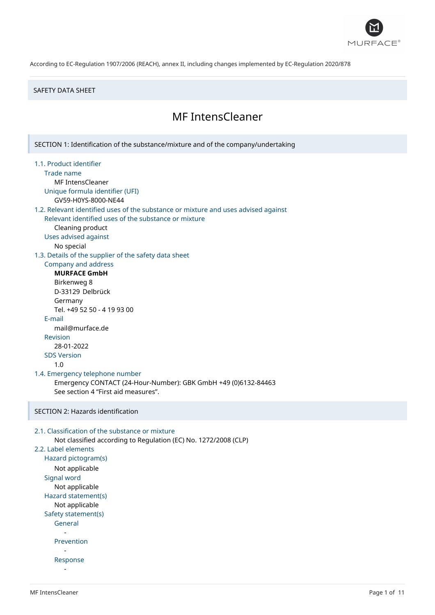

#### SAFETY DATA SHEET

# MF IntensCleaner

SECTION 1: Identification of the substance/mixture and of the company/undertaking 1.1. Product identifier Trade name MF IntensCleaner Unique formula identifier (UFI) GV59-H0YS-8000-NE44 1.2. Relevant identified uses of the substance or mixture and uses advised against Relevant identified uses of the substance or mixture Cleaning product Uses advised against No special 1.3. Details of the supplier of the safety data sheet Company and address **MURFACE GmbH** Birkenweg 8 D-33129 Delbrück Germany Tel. +49 52 50 - 4 19 93 00 E-mail mail@murface.de Revision 28-01-2022 SDS Version 1.0 1.4. Emergency telephone number Emergency CONTACT (24-Hour-Number): GBK GmbH +49 (0)6132-84463 See section 4 "First aid measures". SECTION 2: Hazards identification 2.1. Classification of the substance or mixture Not classified according to Regulation (EC) No. 1272/2008 (CLP) 2.2. Label elements Hazard pictogram(s) Not applicable Signal word Not applicable Hazard statement(s) Not applicable Safety statement(s) General - Prevention - Response

-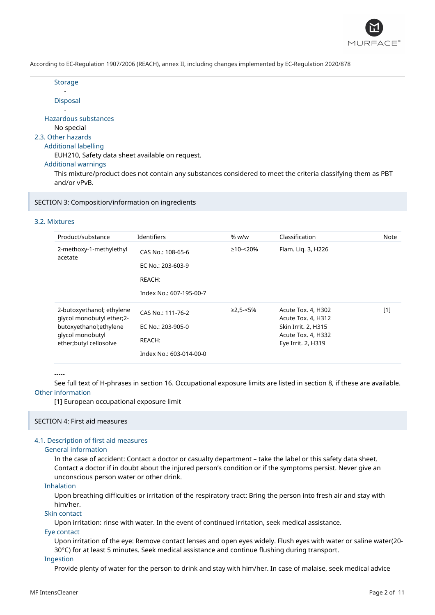

**Storage** 

- Disposal

- Hazardous substances

No special

## 2.3. Other hazards

## Additional labelling

EUH210, Safety data sheet available on request.

Additional warnings

This mixture/product does not contain any substances considered to meet the criteria classifying them as PBT and/or vPvB.

SECTION 3: Composition/information on ingredients

## 3.2. Mixtures

| Product/substance                                                      | <b>Identifiers</b>      | % w/w          | Classification                           | Note |
|------------------------------------------------------------------------|-------------------------|----------------|------------------------------------------|------|
| 2-methoxy-1-methylethyl<br>acetate                                     | CAS No.: 108-65-6       | $\geq$ 10-<20% | Flam. Lig. 3, H226                       |      |
|                                                                        | EC No.: 203-603-9       |                |                                          |      |
|                                                                        | REACH:                  |                |                                          |      |
|                                                                        | Index No.: 607-195-00-7 |                |                                          |      |
| 2-butoxyethanol; ethylene<br>qlycol monobutyl ether;2-                 | CAS No.: 111-76-2       | $≥2,5-<5%$     | Acute Tox. 4, H302<br>Acute Tox. 4, H312 | [1]  |
| butoxyethanol; ethylene<br>glycol monobutyl<br>ether; butyl cellosolve | EC No.: 203-905-0       |                | Skin Irrit. 2, H315                      |      |
|                                                                        | REACH:                  |                | Acute Tox. 4, H332<br>Eye Irrit. 2, H319 |      |
|                                                                        | Index No.: 603-014-00-0 |                |                                          |      |

-----

See full text of H-phrases in section 16. Occupational exposure limits are listed in section 8, if these are available. Other information

[1] European occupational exposure limit

## SECTION 4: First aid measures

## 4.1. Description of first aid measures

#### General information

In the case of accident: Contact a doctor or casualty department – take the label or this safety data sheet. Contact a doctor if in doubt about the injured person's condition or if the symptoms persist. Never give an unconscious person water or other drink.

## Inhalation

Upon breathing difficulties or irritation of the respiratory tract: Bring the person into fresh air and stay with him/her.

## Skin contact

Upon irritation: rinse with water. In the event of continued irritation, seek medical assistance.

#### Eye contact

Upon irritation of the eye: Remove contact lenses and open eyes widely. Flush eyes with water or saline water(20- 30°C) for at least 5 minutes. Seek medical assistance and continue flushing during transport.

#### Ingestion

Provide plenty of water for the person to drink and stay with him/her. In case of malaise, seek medical advice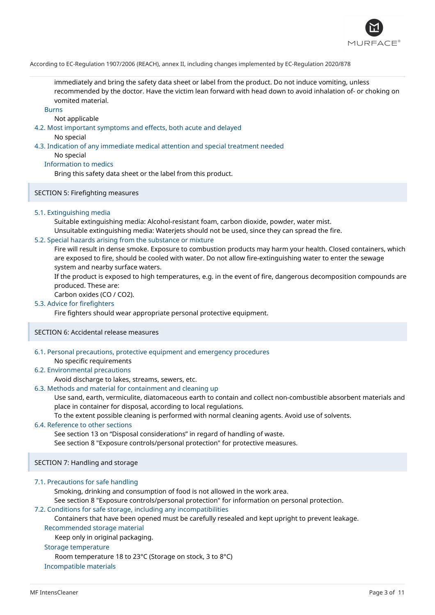

immediately and bring the safety data sheet or label from the product. Do not induce vomiting, unless recommended by the doctor. Have the victim lean forward with head down to avoid inhalation of- or choking on vomited material.

Burns

Not applicable

4.2. Most important symptoms and effects, both acute and delayed

No special

## 4.3. Indication of any immediate medical attention and special treatment needed

No special

Information to medics

Bring this safety data sheet or the label from this product.

SECTION 5: Firefighting measures

#### 5.1. Extinguishing media

Suitable extinguishing media: Alcohol-resistant foam, carbon dioxide, powder, water mist. Unsuitable extinguishing media: Waterjets should not be used, since they can spread the fire.

#### 5.2. Special hazards arising from the substance or mixture

Fire will result in dense smoke. Exposure to combustion products may harm your health. Closed containers, which are exposed to fire, should be cooled with water. Do not allow fire-extinguishing water to enter the sewage system and nearby surface waters.

If the product is exposed to high temperatures, e.g. in the event of fire, dangerous decomposition compounds are produced. These are:

Carbon oxides (CO / CO2).

## 5.3. Advice for firefighters

Fire fighters should wear appropriate personal protective equipment.

SECTION 6: Accidental release measures

## 6.1. Personal precautions, protective equipment and emergency procedures

No specific requirements

## 6.2. Environmental precautions

Avoid discharge to lakes, streams, sewers, etc.

#### 6.3. Methods and material for containment and cleaning up

Use sand, earth, vermiculite, diatomaceous earth to contain and collect non-combustible absorbent materials and place in container for disposal, according to local regulations.

To the extent possible cleaning is performed with normal cleaning agents. Avoid use of solvents.

#### 6.4. Reference to other sections

See section 13 on "Disposal considerations" in regard of handling of waste.

See section 8 "Exposure controls/personal protection" for protective measures.

## SECTION 7: Handling and storage

#### 7.1. Precautions for safe handling

Smoking, drinking and consumption of food is not allowed in the work area.

See section 8 "Exposure controls/personal protection" for information on personal protection.

## 7.2. Conditions for safe storage, including any incompatibilities

Containers that have been opened must be carefully resealed and kept upright to prevent leakage.

## Recommended storage material

Keep only in original packaging.

## Storage temperature

Room temperature 18 to 23°C (Storage on stock, 3 to 8°C)

Incompatible materials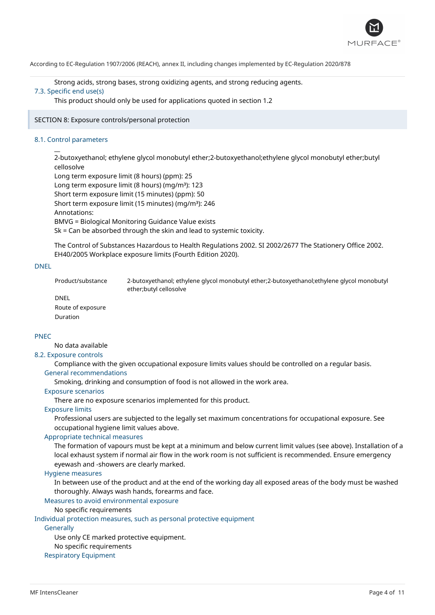

Strong acids, strong bases, strong oxidizing agents, and strong reducing agents.

# 7.3. Specific end use(s)

This product should only be used for applications quoted in section 1.2

SECTION 8: Exposure controls/personal protection

## 8.1. Control parameters

 $\overline{a}$ 

2-butoxyethanol; ethylene glycol monobutyl ether;2-butoxyethanol;ethylene glycol monobutyl ether;butyl cellosolve

Long term exposure limit (8 hours) (ppm): 25

Long term exposure limit (8 hours) (mg/m<sup>3</sup>): 123

Short term exposure limit (15 minutes) (ppm): 50

Short term exposure limit (15 minutes) (mg/m<sup>3</sup>): 246

Annotations:

BMVG = Biological Monitoring Guidance Value exists

Sk = Can be absorbed through the skin and lead to systemic toxicity.

The Control of Substances Hazardous to Health Regulations 2002. SI 2002/2677 The Stationery Office 2002. EH40/2005 Workplace exposure limits (Fourth Edition 2020).

## DNEL

Product/substance 2-butoxyethanol; ethylene glycol monobutyl ether;2-butoxyethanol;ethylene glycol monobutyl ether;butyl cellosolve DNEL

Route of exposure Duration

## PNEC

No data available

## 8.2. Exposure controls

Compliance with the given occupational exposure limits values should be controlled on a regular basis.

## General recommendations

Smoking, drinking and consumption of food is not allowed in the work area.

#### Exposure scenarios

There are no exposure scenarios implemented for this product.

#### Exposure limits

Professional users are subjected to the legally set maximum concentrations for occupational exposure. See occupational hygiene limit values above.

## Appropriate technical measures

The formation of vapours must be kept at a minimum and below current limit values (see above). Installation of a local exhaust system if normal air flow in the work room is not sufficient is recommended. Ensure emergency eyewash and -showers are clearly marked.

#### Hygiene measures

In between use of the product and at the end of the working day all exposed areas of the body must be washed thoroughly. Always wash hands, forearms and face.

Measures to avoid environmental exposure

No specific requirements

Individual protection measures, such as personal protective equipment

## **Generally**

Use only CE marked protective equipment.

No specific requirements

## Respiratory Equipment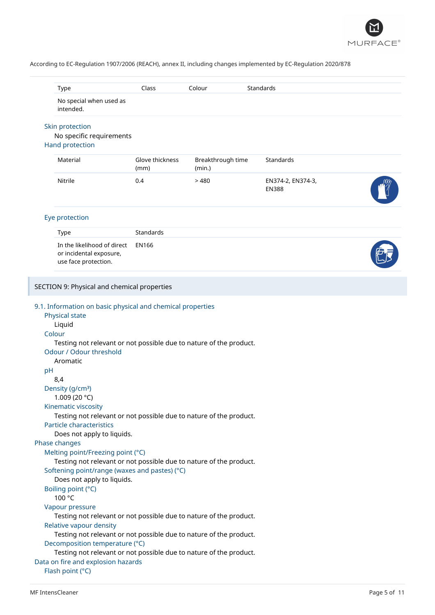

|        |                                                                                                          | Class                   | Colour                      | Standards                         |  |
|--------|----------------------------------------------------------------------------------------------------------|-------------------------|-----------------------------|-----------------------------------|--|
|        | No special when used as<br>intended.                                                                     |                         |                             |                                   |  |
|        | Skin protection<br>No specific requirements<br>Hand protection                                           |                         |                             |                                   |  |
|        | Material                                                                                                 | Glove thickness<br>(mm) | Breakthrough time<br>(min.) | Standards                         |  |
|        | Nitrile                                                                                                  | 0.4                     | >480                        | EN374-2, EN374-3,<br><b>EN388</b> |  |
|        | Eye protection                                                                                           |                         |                             |                                   |  |
|        | Type                                                                                                     | <b>Standards</b>        |                             |                                   |  |
|        | In the likelihood of direct<br>or incidental exposure,<br>use face protection.                           | <b>EN166</b>            |                             |                                   |  |
|        | SECTION 9: Physical and chemical properties                                                              |                         |                             |                                   |  |
|        | 9.1. Information on basic physical and chemical properties                                               |                         |                             |                                   |  |
|        | Physical state<br>Liquid                                                                                 |                         |                             |                                   |  |
| Colour |                                                                                                          |                         |                             |                                   |  |
|        | Testing not relevant or not possible due to nature of the product.                                       |                         |                             |                                   |  |
|        |                                                                                                          |                         |                             |                                   |  |
|        | Odour / Odour threshold                                                                                  |                         |                             |                                   |  |
|        | Aromatic                                                                                                 |                         |                             |                                   |  |
| pH     | 8,4                                                                                                      |                         |                             |                                   |  |
|        | Density (g/cm <sup>3</sup> )                                                                             |                         |                             |                                   |  |
|        | 1.009 (20 °C)                                                                                            |                         |                             |                                   |  |
|        | Kinematic viscosity                                                                                      |                         |                             |                                   |  |
|        | Testing not relevant or not possible due to nature of the product.<br>Particle characteristics           |                         |                             |                                   |  |
|        | Does not apply to liquids.                                                                               |                         |                             |                                   |  |
|        | Phase changes                                                                                            |                         |                             |                                   |  |
|        | Melting point/Freezing point (°C)                                                                        |                         |                             |                                   |  |
|        | Testing not relevant or not possible due to nature of the product.                                       |                         |                             |                                   |  |
|        | Softening point/range (waxes and pastes) (°C)<br>Does not apply to liquids.                              |                         |                             |                                   |  |
|        | Boiling point (°C)                                                                                       |                         |                             |                                   |  |
|        | 100 °C                                                                                                   |                         |                             |                                   |  |
|        | Vapour pressure                                                                                          |                         |                             |                                   |  |
|        | Testing not relevant or not possible due to nature of the product.<br>Relative vapour density            |                         |                             |                                   |  |
|        | Testing not relevant or not possible due to nature of the product.                                       |                         |                             |                                   |  |
|        | Decomposition temperature (°C)                                                                           |                         |                             |                                   |  |
|        | Testing not relevant or not possible due to nature of the product.<br>Data on fire and explosion hazards |                         |                             |                                   |  |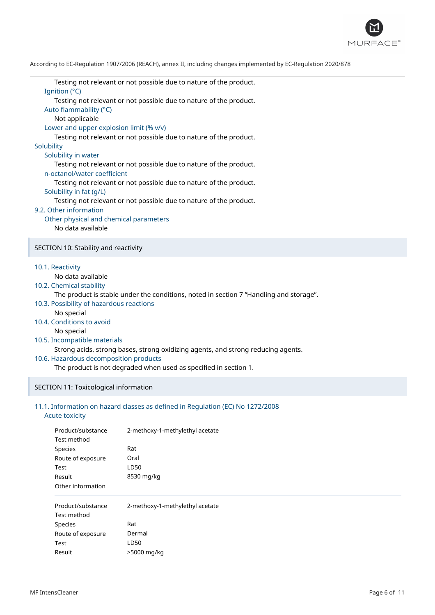

Testing not relevant or not possible due to nature of the product. Ignition (°C) Testing not relevant or not possible due to nature of the product. Auto flammability (°C)

Not applicable

Lower and upper explosion limit (% v/v)

Testing not relevant or not possible due to nature of the product.

**Solubility** 

Solubility in water

Testing not relevant or not possible due to nature of the product. n-octanol/water coefficient

Testing not relevant or not possible due to nature of the product.

Solubility in fat (g/L)

Testing not relevant or not possible due to nature of the product.

## 9.2. Other information

Other physical and chemical parameters No data available

SECTION 10: Stability and reactivity

10.1. Reactivity

No data available

10.2. Chemical stability

The product is stable under the conditions, noted in section 7 "Handling and storage".

- 10.3. Possibility of hazardous reactions
	- No special
- 10.4. Conditions to avoid

No special

10.5. Incompatible materials

Strong acids, strong bases, strong oxidizing agents, and strong reducing agents.

10.6. Hazardous decomposition products

The product is not degraded when used as specified in section 1.

### SECTION 11: Toxicological information

## 11.1. Information on hazard classes as defined in Regulation (EC) No 1272/2008

## Acute toxicity

| Product/substance | 2-methoxy-1-methylethyl acetate |  |  |  |
|-------------------|---------------------------------|--|--|--|
| Test method       |                                 |  |  |  |
| Species           | Rat                             |  |  |  |
| Route of exposure | Oral                            |  |  |  |
| Test              | LD50                            |  |  |  |
| Result            | 8530 mg/kg                      |  |  |  |
| Other information |                                 |  |  |  |
| Product/substance | 2-methoxy-1-methylethyl acetate |  |  |  |
| Test method       |                                 |  |  |  |
| <b>Species</b>    | Rat                             |  |  |  |
| Route of exposure | Dermal                          |  |  |  |
| Test              | LD50                            |  |  |  |
| Result            | >5000 mg/kg                     |  |  |  |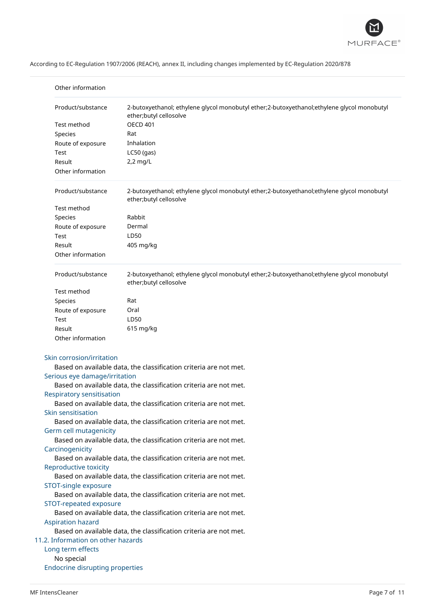

| Other information                                                 |                                                                                                                      |  |
|-------------------------------------------------------------------|----------------------------------------------------------------------------------------------------------------------|--|
| Product/substance                                                 | 2-butoxyethanol; ethylene glycol monobutyl ether;2-butoxyethanol;ethylene glycol monobutyl<br>ether;butyl cellosolve |  |
| Test method                                                       | <b>OECD 401</b>                                                                                                      |  |
| Species                                                           | Rat                                                                                                                  |  |
| Route of exposure                                                 | Inhalation                                                                                                           |  |
| Test                                                              | $LC50$ (gas)                                                                                                         |  |
| Result                                                            | $2,2$ mg/L                                                                                                           |  |
| Other information                                                 |                                                                                                                      |  |
| Product/substance                                                 | 2-butoxyethanol; ethylene glycol monobutyl ether;2-butoxyethanol;ethylene glycol monobutyl<br>ether;butyl cellosolve |  |
| Test method                                                       |                                                                                                                      |  |
| Species                                                           | Rabbit                                                                                                               |  |
| Route of exposure                                                 | Dermal                                                                                                               |  |
| Test                                                              | LD50                                                                                                                 |  |
| Result                                                            | 405 mg/kg                                                                                                            |  |
| Other information                                                 |                                                                                                                      |  |
| Product/substance                                                 | 2-butoxyethanol; ethylene glycol monobutyl ether;2-butoxyethanol;ethylene glycol monobutyl<br>ether;butyl cellosolve |  |
| Test method                                                       |                                                                                                                      |  |
| Species                                                           | Rat                                                                                                                  |  |
| Route of exposure                                                 | Oral                                                                                                                 |  |
| Test                                                              | LD50                                                                                                                 |  |
| Result                                                            | 615 mg/kg                                                                                                            |  |
| Other information                                                 |                                                                                                                      |  |
| Skin corrosion/irritation                                         |                                                                                                                      |  |
|                                                                   | Based on available data, the classification criteria are not met.                                                    |  |
| Serious eye damage/irritation                                     |                                                                                                                      |  |
|                                                                   | Based on available data, the classification criteria are not met.                                                    |  |
| <b>Respiratory sensitisation</b>                                  |                                                                                                                      |  |
|                                                                   | Based on available data, the classification criteria are not met.                                                    |  |
| Skin sensitisation                                                |                                                                                                                      |  |
|                                                                   | Based on available data, the classification criteria are not met.                                                    |  |
| Germ cell mutagenicity                                            |                                                                                                                      |  |
|                                                                   | Based on available data, the classification criteria are not met.                                                    |  |
| Carcinogenicity                                                   |                                                                                                                      |  |
| Based on available data, the classification criteria are not met. |                                                                                                                      |  |
| Reproductive toxicity                                             |                                                                                                                      |  |
| Based on available data, the classification criteria are not met. |                                                                                                                      |  |
| STOT-single exposure                                              |                                                                                                                      |  |
|                                                                   | Based on available data, the classification criteria are not met.                                                    |  |
| STOT-repeated exposure                                            |                                                                                                                      |  |
|                                                                   | Based on available data, the classification criteria are not met.                                                    |  |
| <b>Aspiration hazard</b>                                          |                                                                                                                      |  |
| 11.2. Information on other hazards                                | Based on available data, the classification criteria are not met.                                                    |  |
| Long term effects                                                 |                                                                                                                      |  |
| No special                                                        |                                                                                                                      |  |
| <b>Endocrine disrupting properties</b>                            |                                                                                                                      |  |
|                                                                   |                                                                                                                      |  |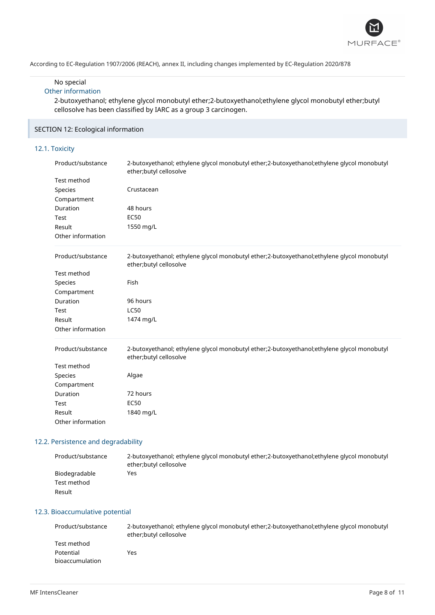

## No special

## Other information

2-butoxyethanol; ethylene glycol monobutyl ether;2-butoxyethanol;ethylene glycol monobutyl ether;butyl cellosolve has been classified by IARC as a group 3 carcinogen.

## SECTION 12: Ecological information

## 12.1. Toxicity

| Product/substance | 2-butoxyethanol; ethylene glycol monobutyl ether;2-butoxyethanol;ethylene glycol monobutyl<br>ether;butyl cellosolve |
|-------------------|----------------------------------------------------------------------------------------------------------------------|
| Test method       |                                                                                                                      |
| Species           | Crustacean                                                                                                           |
| Compartment       |                                                                                                                      |
| Duration          | 48 hours                                                                                                             |
| Test              | <b>EC50</b>                                                                                                          |
| Result            | 1550 mg/L                                                                                                            |
| Other information |                                                                                                                      |
| Product/substance | 2-butoxyethanol; ethylene glycol monobutyl ether;2-butoxyethanol;ethylene glycol monobutyl<br>ether;butyl cellosolve |
| Test method       |                                                                                                                      |
| Species           | Fish                                                                                                                 |
| Compartment       |                                                                                                                      |
| Duration          | 96 hours                                                                                                             |
| Test              | <b>LC50</b>                                                                                                          |
| Result            | 1474 mg/L                                                                                                            |
| Other information |                                                                                                                      |
| Product/substance | 2-butoxyethanol; ethylene glycol monobutyl ether;2-butoxyethanol;ethylene glycol monobutyl<br>ether;butyl cellosolve |
| Test method       |                                                                                                                      |
| Species           | Algae                                                                                                                |
| Compartment       |                                                                                                                      |
| Duration          | 72 hours                                                                                                             |
| Test              | <b>EC50</b>                                                                                                          |
| Result            | 1840 mg/L                                                                                                            |
| Other information |                                                                                                                      |

## 12.2. Persistence and degradability

| Product/substance | 2-butoxyethanol; ethylene glycol monobutyl ether; 2-butoxyethanol; ethylene glycol monobutyl<br>ether; butyl cellosolve |
|-------------------|-------------------------------------------------------------------------------------------------------------------------|
| Biodegradable     | Yes                                                                                                                     |
| Test method       |                                                                                                                         |
| Result            |                                                                                                                         |

## 12.3. Bioaccumulative potential

| Product/substance | 2-butoxyethanol; ethylene glycol monobutyl ether; 2-butoxyethanol; ethylene glycol monobutyl<br>ether;butyl cellosolve |
|-------------------|------------------------------------------------------------------------------------------------------------------------|
| Test method       |                                                                                                                        |
| Potential         | Yes                                                                                                                    |
| bioaccumulation   |                                                                                                                        |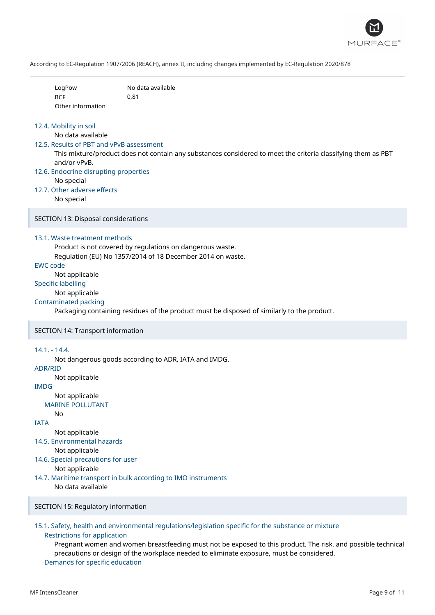

| LogPow            | No data available |
|-------------------|-------------------|
| <b>BCF</b>        | 0.81              |
| Other information |                   |

#### 12.4. Mobility in soil

No data available

#### 12.5. Results of PBT and vPvB assessment

This mixture/product does not contain any substances considered to meet the criteria classifying them as PBT and/or vPvB.

- 12.6. Endocrine disrupting properties No special
- 12.7. Other adverse effects

No special

SECTION 13: Disposal considerations

#### 13.1. Waste treatment methods

Product is not covered by regulations on dangerous waste.

Regulation (EU) No 1357/2014 of 18 December 2014 on waste.

## EWC code

Not applicable

## Specific labelling

Not applicable

## Contaminated packing

Packaging containing residues of the product must be disposed of similarly to the product.

#### SECTION 14: Transport information

#### 14.1. - 14.4.

Not dangerous goods according to ADR, IATA and IMDG.

#### ADR/RID

Not applicable

IMDG

# Not applicable

MARINE POLLUTANT No

IATA

Not applicable

14.5. Environmental hazards

Not applicable

14.6. Special precautions for user

Not applicable

14.7. Maritime transport in bulk according to IMO instruments

No data available

## SECTION 15: Regulatory information

### 15.1. Safety, health and environmental regulations/legislation specific for the substance or mixture Restrictions for application

Pregnant women and women breastfeeding must not be exposed to this product. The risk, and possible technical precautions or design of the workplace needed to eliminate exposure, must be considered. Demands for specific education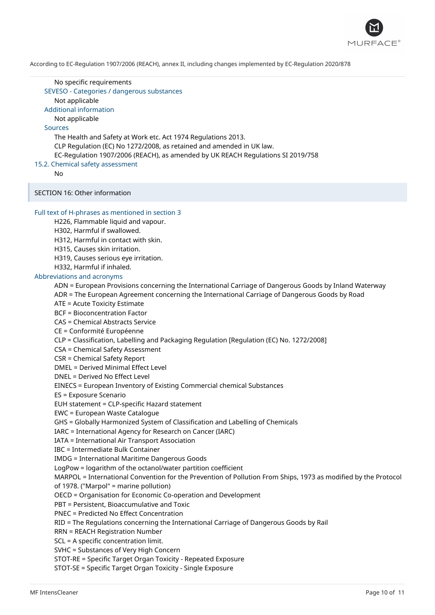

#### No specific requirements

SEVESO - Categories / dangerous substances

Not applicable

Additional information

## Not applicable

## Sources

The Health and Safety at Work etc. Act 1974 Regulations 2013. CLP Regulation (EC) No 1272/2008, as retained and amended in UK law. EC-Regulation 1907/2006 (REACH), as amended by UK REACH Regulations SI 2019/758

15.2. Chemical safety assessment

No

SECTION 16: Other information

## Full text of H-phrases as mentioned in section 3

H226, Flammable liquid and vapour.

H302, Harmful if swallowed.

H312, Harmful in contact with skin.

- H315, Causes skin irritation.
- H319, Causes serious eye irritation.

H332, Harmful if inhaled.

#### Abbreviations and acronyms

ADN = European Provisions concerning the International Carriage of Dangerous Goods by Inland Waterway

ADR = The European Agreement concerning the International Carriage of Dangerous Goods by Road

ATE = Acute Toxicity Estimate

BCF = Bioconcentration Factor

CAS = Chemical Abstracts Service

CE = Conformité Européenne

CLP = Classification, Labelling and Packaging Regulation [Regulation (EC) No. 1272/2008]

CSA = Chemical Safety Assessment

CSR = Chemical Safety Report

DMEL = Derived Minimal Effect Level

DNEL = Derived No Effect Level

EINECS = European Inventory of Existing Commercial chemical Substances

ES = Exposure Scenario

EUH statement = CLP-specific Hazard statement

EWC = European Waste Catalogue

GHS = Globally Harmonized System of Classification and Labelling of Chemicals

IARC = International Agency for Research on Cancer (IARC)

IATA = International Air Transport Association

IBC = Intermediate Bulk Container

IMDG = International Maritime Dangerous Goods

LogPow = logarithm of the octanol/water partition coefficient

MARPOL = International Convention for the Prevention of Pollution From Ships, 1973 as modified by the Protocol of 1978. ("Marpol" = marine pollution)

OECD = Organisation for Economic Co-operation and Development

PBT = Persistent, Bioaccumulative and Toxic

PNEC = Predicted No Effect Concentration

RID = The Regulations concerning the International Carriage of Dangerous Goods by Rail

RRN = REACH Registration Number

SCL = A specific concentration limit.

SVHC = Substances of Very High Concern

STOT-RE = Specific Target Organ Toxicity - Repeated Exposure

STOT-SE = Specific Target Organ Toxicity - Single Exposure